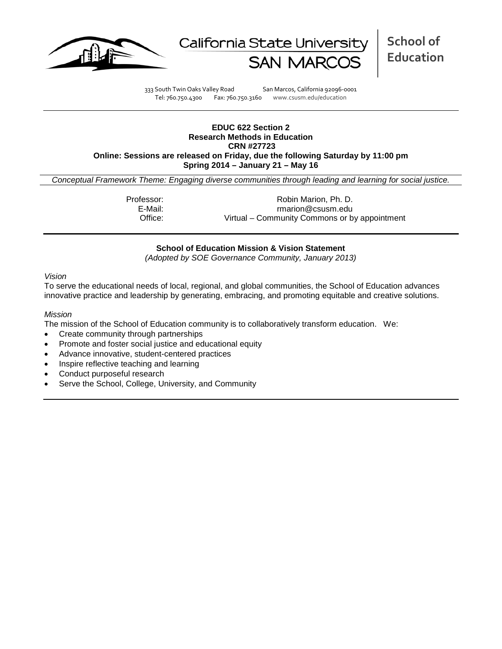



333 South Twin Oaks Valley Road San Marcos, California 92096-0001 Tel: 760.750.4300 Fax: 760.750.3160 www.csusm.edu/education

## **EDUC 622 Section 2 Research Methods in Education CRN #27723 Online: Sessions are released on Friday, due the following Saturday by 11:00 pm Spring 2014 – January 21 – May 16**

*Conceptual Framework Theme: Engaging diverse communities through leading and learning for social justice.*

Professor: Robin Marion, Ph. D.<br>E-Mail: Fratish Controller and the marion @csusm.edu E-Mail: rmarion@csusm.edu Office: Virtual – Community Commons or by appointment

# **School of Education Mission & Vision Statement**

*(Adopted by SOE Governance Community, January 2013)*

#### *Vision*

To serve the educational needs of local, regional, and global communities, the School of Education advances innovative practice and leadership by generating, embracing, and promoting equitable and creative solutions.

#### *Mission*

The mission of the School of Education community is to collaboratively transform education. We:

- Create community through partnerships
- Promote and foster social justice and educational equity
- Advance innovative, student-centered practices
- Inspire reflective teaching and learning
- Conduct purposeful research
- Serve the School, College, University, and Community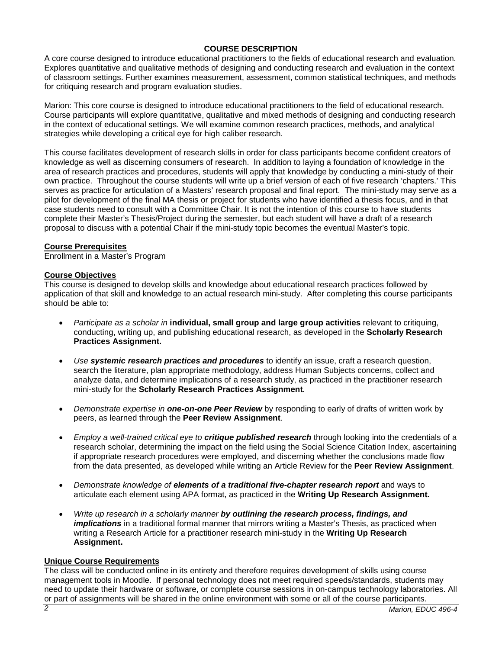# **COURSE DESCRIPTION**

A core course designed to introduce educational practitioners to the fields of educational research and evaluation. Explores quantitative and qualitative methods of designing and conducting research and evaluation in the context of classroom settings. Further examines measurement, assessment, common statistical techniques, and methods for critiquing research and program evaluation studies.

Marion: This core course is designed to introduce educational practitioners to the field of educational research. Course participants will explore quantitative, qualitative and mixed methods of designing and conducting research in the context of educational settings. We will examine common research practices, methods, and analytical strategies while developing a critical eye for high caliber research.

This course facilitates development of research skills in order for class participants become confident creators of knowledge as well as discerning consumers of research. In addition to laying a foundation of knowledge in the area of research practices and procedures, students will apply that knowledge by conducting a mini-study of their own practice. Throughout the course students will write up a brief version of each of five research 'chapters.' This serves as practice for articulation of a Masters' research proposal and final report. The mini-study may serve as a pilot for development of the final MA thesis or project for students who have identified a thesis focus, and in that case students need to consult with a Committee Chair. It is not the intention of this course to have students complete their Master's Thesis/Project during the semester, but each student will have a draft of a research proposal to discuss with a potential Chair if the mini-study topic becomes the eventual Master's topic.

# **Course Prerequisites**

Enrollment in a Master's Program

# **Course Objectives**

This course is designed to develop skills and knowledge about educational research practices followed by application of that skill and knowledge to an actual research mini-study. After completing this course participants should be able to:

- *Participate as a scholar in* **individual, small group and large group activities** relevant to critiquing, conducting, writing up, and publishing educational research, as developed in the **Scholarly Research Practices Assignment.**
- *Use systemic research practices and procedures* to identify an issue, craft a research question, search the literature, plan appropriate methodology, address Human Subjects concerns, collect and analyze data, and determine implications of a research study, as practiced in the practitioner research mini-study for the **Scholarly Research Practices Assignment***.*
- *Demonstrate expertise in one-on-one Peer Review* by responding to early of drafts of written work by peers, as learned through the **Peer Review Assignment**.
- *Employ a well-trained critical eye to critique published research* through looking into the credentials of a research scholar, determining the impact on the field using the Social Science Citation Index, ascertaining if appropriate research procedures were employed, and discerning whether the conclusions made flow from the data presented, as developed while writing an Article Review for the **Peer Review Assignment**.
- *Demonstrate knowledge of elements of a traditional five-chapter research report* and ways to articulate each element using APA format, as practiced in the **Writing Up Research Assignment.**
- *Write up research in a scholarly manner by outlining the research process, findings, and implications* in a traditional formal manner that mirrors writing a Master's Thesis, as practiced when writing a Research Article for a practitioner research mini-study in the **Writing Up Research Assignment.**

# **Unique Course Requirements**

The class will be conducted online in its entirety and therefore requires development of skills using course management tools in Moodle. If personal technology does not meet required speeds/standards, students may need to update their hardware or software, or complete course sessions in on-campus technology laboratories. All or part of assignments will be shared in the online environment with some or all of the course participants.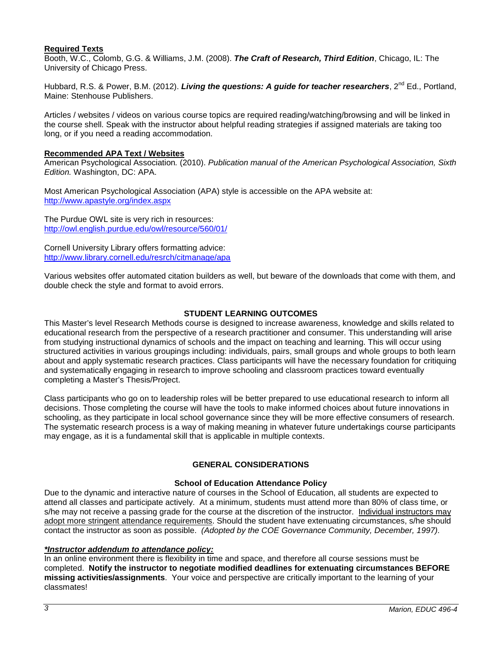# **Required Texts**

Booth, W.C., Colomb, G.G. & Williams, J.M. (2008). *The Craft of Research, Third Edition*, Chicago, IL: The University of Chicago Press.

Hubbard, R.S. & Power, B.M. (2012). *Living the questions: A guide for teacher researchers*, 2<sup>nd</sup> Ed., Portland, Maine: Stenhouse Publishers.

Articles / websites / videos on various course topics are required reading/watching/browsing and will be linked in the course shell. Speak with the instructor about helpful reading strategies if assigned materials are taking too long, or if you need a reading accommodation.

# **Recommended APA Text / Websites**

American Psychological Association*.* (2010). *Publication manual of the American Psychological Association, Sixth Edition.* Washington, DC: APA.

Most American Psychological Association (APA) style is accessible on the APA website at: <http://www.apastyle.org/index.aspx>

The Purdue OWL site is very rich in resources: <http://owl.english.purdue.edu/owl/resource/560/01/>

Cornell University Library offers formatting advice: <http://www.library.cornell.edu/resrch/citmanage/apa>

Various websites offer automated citation builders as well, but beware of the downloads that come with them, and double check the style and format to avoid errors.

# **STUDENT LEARNING OUTCOMES**

This Master's level Research Methods course is designed to increase awareness, knowledge and skills related to educational research from the perspective of a research practitioner and consumer. This understanding will arise from studying instructional dynamics of schools and the impact on teaching and learning. This will occur using structured activities in various groupings including: individuals, pairs, small groups and whole groups to both learn about and apply systematic research practices. Class participants will have the necessary foundation for critiquing and systematically engaging in research to improve schooling and classroom practices toward eventually completing a Master's Thesis/Project.

Class participants who go on to leadership roles will be better prepared to use educational research to inform all decisions. Those completing the course will have the tools to make informed choices about future innovations in schooling, as they participate in local school governance since they will be more effective consumers of research. The systematic research process is a way of making meaning in whatever future undertakings course participants may engage, as it is a fundamental skill that is applicable in multiple contexts.

# **GENERAL CONSIDERATIONS**

# **School of Education Attendance Policy**

Due to the dynamic and interactive nature of courses in the School of Education, all students are expected to attend all classes and participate actively. At a minimum, students must attend more than 80% of class time, or s/he may not receive a passing grade for the course at the discretion of the instructor. Individual instructors may adopt more stringent attendance requirements. Should the student have extenuating circumstances, s/he should contact the instructor as soon as possible. *(Adopted by the COE Governance Community, December, 1997).*

# *\*Instructor addendum to attendance policy:*

In an online environment there is flexibility in time and space, and therefore all course sessions must be completed. **Notify the instructor to negotiate modified deadlines for extenuating circumstances BEFORE missing activities/assignments**. Your voice and perspective are critically important to the learning of your classmates!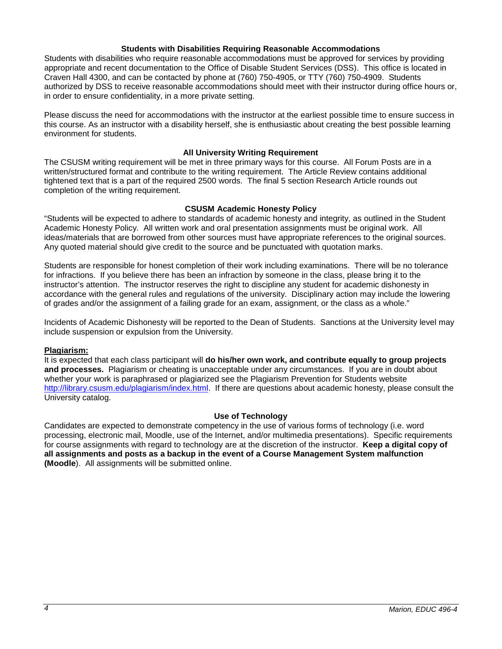#### **Students with Disabilities Requiring Reasonable Accommodations**

Students with disabilities who require reasonable accommodations must be approved for services by providing appropriate and recent documentation to the Office of Disable Student Services (DSS). This office is located in Craven Hall 4300, and can be contacted by phone at (760) 750-4905, or TTY (760) 750-4909. Students authorized by DSS to receive reasonable accommodations should meet with their instructor during office hours or, in order to ensure confidentiality, in a more private setting.

Please discuss the need for accommodations with the instructor at the earliest possible time to ensure success in this course. As an instructor with a disability herself, she is enthusiastic about creating the best possible learning environment for students.

# **All University Writing Requirement**

The CSUSM writing requirement will be met in three primary ways for this course. All Forum Posts are in a written/structured format and contribute to the writing requirement. The Article Review contains additional tightened text that is a part of the required 2500 words. The final 5 section Research Article rounds out completion of the writing requirement.

# **CSUSM Academic Honesty Policy**

"Students will be expected to adhere to standards of academic honesty and integrity, as outlined in the Student Academic Honesty Policy. All written work and oral presentation assignments must be original work. All ideas/materials that are borrowed from other sources must have appropriate references to the original sources. Any quoted material should give credit to the source and be punctuated with quotation marks.

Students are responsible for honest completion of their work including examinations. There will be no tolerance for infractions. If you believe there has been an infraction by someone in the class, please bring it to the instructor's attention. The instructor reserves the right to discipline any student for academic dishonesty in accordance with the general rules and regulations of the university. Disciplinary action may include the lowering of grades and/or the assignment of a failing grade for an exam, assignment, or the class as a whole."

Incidents of Academic Dishonesty will be reported to the Dean of Students. Sanctions at the University level may include suspension or expulsion from the University.

# **Plagiarism:**

It is expected that each class participant will **do his/her own work, and contribute equally to group projects and processes.** Plagiarism or cheating is unacceptable under any circumstances. If you are in doubt about whether your work is paraphrased or plagiarized see the Plagiarism Prevention for Students website [http://library.csusm.edu/plagiarism/index.html.](http://library.csusm.edu/plagiarism/index.html) If there are questions about academic honesty, please consult the University catalog.

# **Use of Technology**

Candidates are expected to demonstrate competency in the use of various forms of technology (i.e. word processing, electronic mail, Moodle, use of the Internet, and/or multimedia presentations). Specific requirements for course assignments with regard to technology are at the discretion of the instructor. **Keep a digital copy of all assignments and posts as a backup in the event of a Course Management System malfunction (Moodle**). All assignments will be submitted online.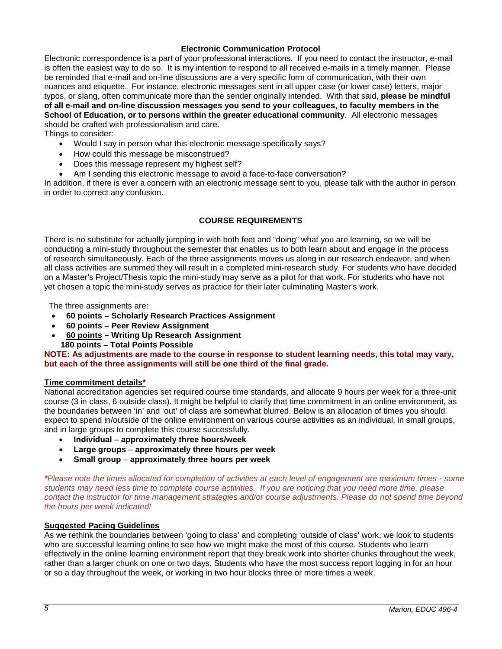# **Electronic Communication Protocol**

Electronic correspondence is a part of your professional interactions. If you need to contact the instructor, e-mail is often the easiest way to do so. It is my intention to respond to all received e-mails in a timely manner. Please be reminded that e-mail and on-line discussions are a very specific form of communication, with their own nuances and etiquette. For instance, electronic messages sent in all upper case (or lower case) letters, major typos, or slang, often communicate more than the sender originally intended. With that said, **please be mindful of all e-mail and on-line discussion messages you send to your colleagues, to faculty members in the School of Education, or to persons within the greater educational community**. All electronic messages should be crafted with professionalism and care.

Things to consider:

- Would I say in person what this electronic message specifically says?
- How could this message be misconstrued?
- Does this message represent my highest self?
- Am I sending this electronic message to avoid a face-to-face conversation?

In addition, if there is ever a concern with an electronic message sent to you, please talk with the author in person in order to correct any confusion.

# **COURSE REQUIREMENTS**

There is no substitute for actually jumping in with both feet and "doing" what you are learning, so we will be conducting a mini-study throughout the semester that enables us to both learn about and engage in the process of research simultaneously. Each of the three assignments moves us along in our research endeavor, and when all class activities are summed they will result in a completed mini-research study. For students who have decided on a Master's Project/Thesis topic the mini-study may serve as a pilot for that work. For students who have not yet chosen a topic the mini-study serves as practice for their later culminating Master's work.

The three assignments are:

- **60 points – Scholarly Research Practices Assignment**
- **60 points – Peer Review Assignment**
- **60 points – Writing Up Research Assignment**
- **180 points – Total Points Possible**

**NOTE: As adjustments are made to the course in response to student learning needs, this total may vary, but each of the three assignments will still be one third of the final grade.**

# **Time commitment details\***

National accreditation agencies set required course time standards, and allocate 9 hours per week for a three-unit course (3 in class, 6 outside class). It might be helpful to clarify that time commitment in an online environment, as the boundaries between 'in' and 'out' of class are somewhat blurred. Below is an allocation of times you should expect to spend in/outside of the online environment on various course activities as an individual, in small groups, and in large groups to complete this course successfully.

- **Individual approximately three hours/week**
- **Large groups approximately three hours per week**
- **Small group approximately three hours per week**

*\*Please note the times allocated for completion of activities at each level of engagement are maximum times - some students may need less time to complete course activities. If you are noticing that you need more time, please contact the instructor for time management strategies and/or course adjustments. Please do not spend time bevond the hours per week indicated!*

# **Suggested Pacing Guidelines**

As we rethink the boundaries between 'going to class' and completing 'outside of class' work, we look to students who are successful learning online to see how we might make the most of this course. Students who learn effectively in the online learning environment report that they break work into shorter chunks throughout the week, rather than a larger chunk on one or two days. Students who have the most success report logging in for an hour or so a day throughout the week, or working in two hour blocks three or more times a week.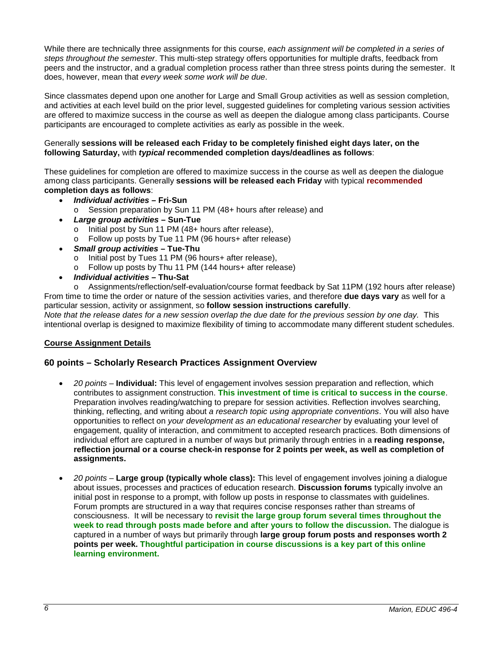While there are technically three assignments for this course, *each assignment will be completed in a series of steps throughout the semester*. This multi-step strategy offers opportunities for multiple drafts, feedback from peers and the instructor, and a gradual completion process rather than three stress points during the semester. It does, however, mean that *every week some work will be due*.

Since classmates depend upon one another for Large and Small Group activities as well as session completion, and activities at each level build on the prior level, suggested guidelines for completing various session activities are offered to maximize success in the course as well as deepen the dialogue among class participants. Course participants are encouraged to complete activities as early as possible in the week.

# Generally **sessions will be released each Friday to be completely finished eight days later, on the following Saturday,** with *typical* **recommended completion days/deadlines as follows**:

These guidelines for completion are offered to maximize success in the course as well as deepen the dialogue among class participants. Generally **sessions will be released each Friday** with typical **recommended completion days as follows**:

- *Individual activities* **– Fri-Sun**
	- o Session preparation by Sun 11 PM (48+ hours after release) and
- *Large group activities* **– Sun-Tue**
	- o Initial post by Sun 11 PM (48+ hours after release),
	- o Follow up posts by Tue 11 PM (96 hours+ after release)
- *Small group activities* **– Tue-Thu**
	- o Initial post by Tues 11 PM (96 hours+ after release),
	- o Follow up posts by Thu 11 PM (144 hours+ after release)
- *Individual activities* **– Thu-Sat**

o Assignments/reflection/self-evaluation/course format feedback by Sat 11PM (192 hours after release) From time to time the order or nature of the session activities varies, and therefore **due days vary** as well for a particular session, activity or assignment, so **follow session instructions carefully**. *Note that the release dates for a new session overlap the due date for the previous session by one day.* This

intentional overlap is designed to maximize flexibility of timing to accommodate many different student schedules.

# **Course Assignment Details**

# **60 points – Scholarly Research Practices Assignment Overview**

- *20 points* **Individual:** This level of engagement involves session preparation and reflection, which contributes to assignment construction. **This investment of time is critical to success in the course**. Preparation involves reading/watching to prepare for session activities. Reflection involves searching, thinking, reflecting, and writing about *a research topic using appropriate conventions*. You will also have opportunities to reflect on *your development as an educational researcher* by evaluating your level of engagement, quality of interaction, and commitment to accepted research practices. Both dimensions of individual effort are captured in a number of ways but primarily through entries in a **reading response, reflection journal or a course check-in response for 2 points per week, as well as completion of assignments.**
- *20 points* **Large group (typically whole class):** This level of engagement involves joining a dialogue about issues, processes and practices of education research. **Discussion forums** typically involve an initial post in response to a prompt, with follow up posts in response to classmates with guidelines. Forum prompts are structured in a way that requires concise responses rather than streams of consciousness. It will be necessary to **revisit the large group forum several times throughout the week to read through posts made before and after yours to follow the discussion.** The dialogue is captured in a number of ways but primarily through **large group forum posts and responses worth 2 points per week. Thoughtful participation in course discussions is a key part of this online learning environment.**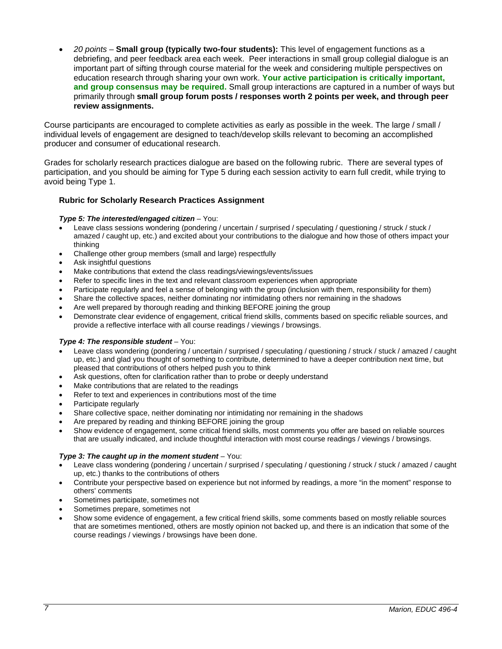• *20 points* – **Small group (typically two-four students):** This level of engagement functions as a debriefing, and peer feedback area each week. Peer interactions in small group collegial dialogue is an important part of sifting through course material for the week and considering multiple perspectives on education research through sharing your own work. **Your active participation is critically important, and group consensus may be required.** Small group interactions are captured in a number of ways but primarily through **small group forum posts / responses worth 2 points per week, and through peer review assignments.** 

Course participants are encouraged to complete activities as early as possible in the week. The large / small / individual levels of engagement are designed to teach/develop skills relevant to becoming an accomplished producer and consumer of educational research.

Grades for scholarly research practices dialogue are based on the following rubric. There are several types of participation, and you should be aiming for Type 5 during each session activity to earn full credit, while trying to avoid being Type 1.

# **Rubric for Scholarly Research Practices Assignment**

#### *Type 5: The interested/engaged citizen* – You:

- Leave class sessions wondering (pondering / uncertain / surprised / speculating / questioning / struck / stuck / amazed / caught up, etc.) and excited about your contributions to the dialogue and how those of others impact your thinking
- Challenge other group members (small and large) respectfully
- Ask insightful questions
- Make contributions that extend the class readings/viewings/events/issues
- Refer to specific lines in the text and relevant classroom experiences when appropriate
- Participate regularly and feel a sense of belonging with the group (inclusion with them, responsibility for them)
- Share the collective spaces, neither dominating nor intimidating others nor remaining in the shadows
- Are well prepared by thorough reading and thinking BEFORE joining the group
- Demonstrate clear evidence of engagement, critical friend skills, comments based on specific reliable sources, and provide a reflective interface with all course readings / viewings / browsings.

#### *Type 4: The responsible student* – You:

- Leave class wondering (pondering / uncertain / surprised / speculating / questioning / struck / stuck / amazed / caught up, etc.) and glad you thought of something to contribute, determined to have a deeper contribution next time, but pleased that contributions of others helped push you to think
- Ask questions, often for clarification rather than to probe or deeply understand
- Make contributions that are related to the readings
- Refer to text and experiences in contributions most of the time
- Participate regularly
- Share collective space, neither dominating nor intimidating nor remaining in the shadows
- Are prepared by reading and thinking BEFORE joining the group
- Show evidence of engagement, some critical friend skills, most comments you offer are based on reliable sources that are usually indicated, and include thoughtful interaction with most course readings / viewings / browsings.

#### *Type 3: The caught up in the moment student* – You:

- Leave class wondering (pondering / uncertain / surprised / speculating / questioning / struck / stuck / amazed / caught up, etc.) thanks to the contributions of others
- Contribute your perspective based on experience but not informed by readings, a more "in the moment" response to others' comments
- Sometimes participate, sometimes not
- Sometimes prepare, sometimes not
- Show some evidence of engagement, a few critical friend skills, some comments based on mostly reliable sources that are sometimes mentioned, others are mostly opinion not backed up, and there is an indication that some of the course readings / viewings / browsings have been done.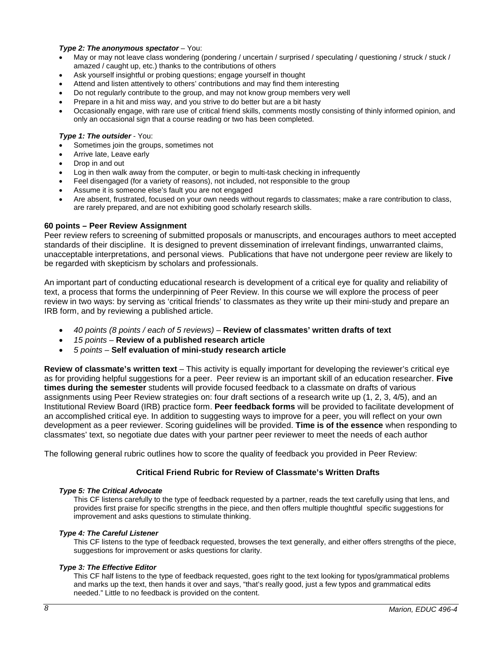#### *Type 2: The anonymous spectator* – You:

- May or may not leave class wondering (pondering / uncertain / surprised / speculating / questioning / struck / stuck / amazed / caught up, etc.) thanks to the contributions of others
- Ask yourself insightful or probing questions; engage yourself in thought
- Attend and listen attentively to others' contributions and may find them interesting
- Do not regularly contribute to the group, and may not know group members very well
- Prepare in a hit and miss way, and you strive to do better but are a bit hasty
- Occasionally engage, with rare use of critical friend skills, comments mostly consisting of thinly informed opinion, and only an occasional sign that a course reading or two has been completed.

#### *Type 1: The outsider* - You:

- Sometimes join the groups, sometimes not
- Arrive late, Leave early
- Drop in and out
- Log in then walk away from the computer, or begin to multi-task checking in infrequently
- Feel disengaged (for a variety of reasons), not included, not responsible to the group
- Assume it is someone else's fault you are not engaged
- Are absent, frustrated, focused on your own needs without regards to classmates; make a rare contribution to class, are rarely prepared, and are not exhibiting good scholarly research skills.

#### **60 points – Peer Review Assignment**

Peer review refers to screening of submitted proposals or manuscripts, and encourages authors to meet accepted standards of their discipline. It is designed to prevent dissemination of irrelevant findings, unwarranted claims, unacceptable interpretations, and personal views. Publications that have not undergone peer review are likely to be regarded with skepticism by scholars and professionals.

An important part of conducting educational research is development of a critical eye for quality and reliability of text, a process that forms the underpinning of Peer Review. In this course we will explore the process of peer review in two ways: by serving as 'critical friends' to classmates as they write up their mini-study and prepare an IRB form, and by reviewing a published article.

- *40 points (8 points / each of 5 reviews) –* **Review of classmates' written drafts of text**
- *15 points* **Review of a published research article**
- *5 points –* **Self evaluation of mini-study research article**

**Review of classmate's written text** – This activity is equally important for developing the reviewer's critical eye as for providing helpful suggestions for a peer. Peer review is an important skill of an education researcher. **Five times during the semester** students will provide focused feedback to a classmate on drafts of various assignments using Peer Review strategies on: four draft sections of a research write up (1, 2, 3, 4/5), and an Institutional Review Board (IRB) practice form. **Peer feedback forms** will be provided to facilitate development of an accomplished critical eye. In addition to suggesting ways to improve for a peer, you will reflect on your own development as a peer reviewer. Scoring guidelines will be provided. **Time is of the essence** when responding to classmates' text, so negotiate due dates with your partner peer reviewer to meet the needs of each author

The following general rubric outlines how to score the quality of feedback you provided in Peer Review:

# **Critical Friend Rubric for Review of Classmate's Written Drafts**

#### *Type 5: The Critical Advocate*

This CF listens carefully to the type of feedback requested by a partner, reads the text carefully using that lens, and provides first praise for specific strengths in the piece, and then offers multiple thoughtful specific suggestions for improvement and asks questions to stimulate thinking.

#### *Type 4: The Careful Listener*

This CF listens to the type of feedback requested, browses the text generally, and either offers strengths of the piece, suggestions for improvement or asks questions for clarity.

#### *Type 3: The Effective Editor*

This CF half listens to the type of feedback requested, goes right to the text looking for typos/grammatical problems and marks up the text, then hands it over and says, "that's really good, just a few typos and grammatical edits needed." Little to no feedback is provided on the content.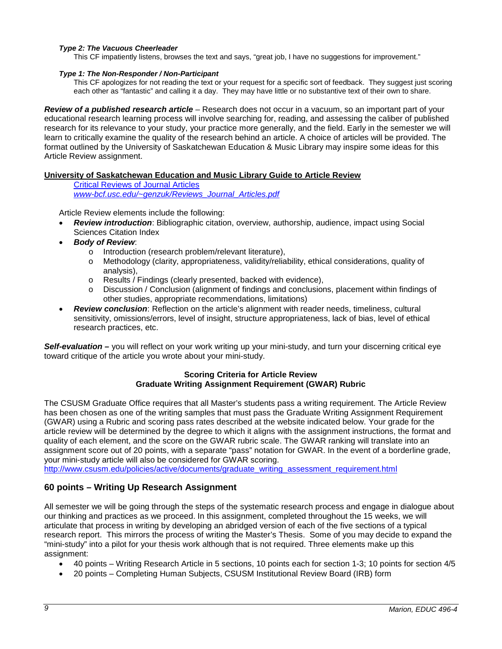# *Type 2: The Vacuous Cheerleader*

This CF impatiently listens, browses the text and says, "great job, I have no suggestions for improvement."

#### *Type 1: The Non-Responder / Non-Participant*

This CF apologizes for not reading the text or your request for a specific sort of feedback. They suggest just scoring each other as "fantastic" and calling it a day. They may have little or no substantive text of their own to share.

*Review of a published research article* – Research does not occur in a vacuum, so an important part of your educational research learning process will involve searching for, reading, and assessing the caliber of published research for its relevance to your study, your practice more generally, and the field. Early in the semester we will learn to critically examine the quality of the research behind an article. A choice of articles will be provided. The format outlined by the University of Saskatchewan Education & Music Library may inspire some ideas for this Article Review assignment.

# **University of Saskatchewan Education and Music Library Guide to Article Review**

[Critical Reviews of Journal Articles](http://www-bcf.usc.edu/~genzuk/Reviews_Journal_Articles.pdf)

*www-bcf.usc.edu/~genzuk/Reviews\_Journal\_Articles.pdf*

Article Review elements include the following:

- *Review introduction*: Bibliographic citation, overview, authorship, audience, impact using Social Sciences Citation Index
- *Body of Review*:
	- o Introduction (research problem/relevant literature),
	- o Methodology (clarity, appropriateness, validity/reliability, ethical considerations, quality of analysis),
	- o Results / Findings (clearly presented, backed with evidence),
	- Discussion / Conclusion (alignment of findings and conclusions, placement within findings of other studies, appropriate recommendations, limitations)
- *Review conclusion*: Reflection on the article's alignment with reader needs, timeliness, cultural sensitivity, omissions/errors, level of insight, structure appropriateness, lack of bias, level of ethical research practices, etc.

*Self-evaluation –* you will reflect on your work writing up your mini-study, and turn your discerning critical eye toward critique of the article you wrote about your mini-study.

# **Scoring Criteria for Article Review Graduate Writing Assignment Requirement (GWAR) Rubric**

The CSUSM Graduate Office requires that all Master's students pass a writing requirement. The Article Review has been chosen as one of the writing samples that must pass the Graduate Writing Assignment Requirement (GWAR) using a Rubric and scoring pass rates described at the website indicated below. Your grade for the article review will be determined by the degree to which it aligns with the assignment instructions, the format and quality of each element, and the score on the GWAR rubric scale. The GWAR ranking will translate into an assignment score out of 20 points, with a separate "pass" notation for GWAR. In the event of a borderline grade, your mini-study article will also be considered for GWAR scoring.

[http://www.csusm.edu/policies/active/documents/graduate\\_writing\\_assessment\\_requirement.html](http://www.csusm.edu/policies/active/documents/graduate_writing_assessment_requirement.html)

# **60 points – Writing Up Research Assignment**

All semester we will be going through the steps of the systematic research process and engage in dialogue about our thinking and practices as we proceed. In this assignment, completed throughout the 15 weeks, we will articulate that process in writing by developing an abridged version of each of the five sections of a typical research report. This mirrors the process of writing the Master's Thesis. Some of you may decide to expand the "mini-study" into a pilot for your thesis work although that is not required. Three elements make up this assignment:

- 40 points Writing Research Article in 5 sections, 10 points each for section 1-3; 10 points for section 4/5
- 20 points Completing Human Subjects, CSUSM Institutional Review Board (IRB) form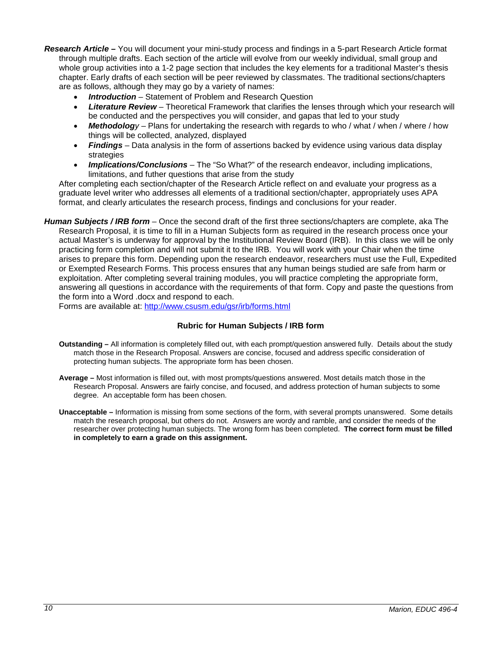- *Research Article –* You will document your mini-study process and findings in a 5-part Research Article format through multiple drafts. Each section of the article will evolve from our weekly individual, small group and whole group activities into a 1-2 page section that includes the key elements for a traditional Master's thesis chapter. Early drafts of each section will be peer reviewed by classmates. The traditional sections/chapters are as follows, although they may go by a variety of names:
	- *Introduction* Statement of Problem and Research Question
	- *Literature Review* Theoretical Framework that clarifies the lenses through which your research will be conducted and the perspectives you will consider, and gapas that led to your study
	- *Methodology* Plans for undertaking the research with regards to who / what / when / where / how things will be collected, analyzed, displayed
	- *Findings* Data analysis in the form of assertions backed by evidence using various data display strategies
	- *Implications/Conclusions* The "So What?" of the research endeavor, including implications, limitations, and futher questions that arise from the study

After completing each section/chapter of the Research Article reflect on and evaluate your progress as a graduate level writer who addresses all elements of a traditional section/chapter, appropriately uses APA format, and clearly articulates the research process, findings and conclusions for your reader.

*Human Subjects / IRB form* – Once the second draft of the first three sections/chapters are complete, aka The Research Proposal, it is time to fill in a Human Subjects form as required in the research process once your actual Master's is underway for approval by the Institutional Review Board (IRB). In this class we will be only practicing form completion and will not submit it to the IRB. You will work with your Chair when the time arises to prepare this form. Depending upon the research endeavor, researchers must use the Full, Expedited or Exempted Research Forms. This process ensures that any human beings studied are safe from harm or exploitation. After completing several training modules, you will practice completing the appropriate form, answering all questions in accordance with the requirements of that form. Copy and paste the questions from the form into a Word .docx and respond to each.

Forms are available at:<http://www.csusm.edu/gsr/irb/forms.html>

# **Rubric for Human Subjects / IRB form**

- **Outstanding –** All information is completely filled out, with each prompt/question answered fully. Details about the study match those in the Research Proposal. Answers are concise, focused and address specific consideration of protecting human subjects. The appropriate form has been chosen.
- **Average –** Most information is filled out, with most prompts/questions answered. Most details match those in the Research Proposal. Answers are fairly concise, and focused, and address protection of human subjects to some degree. An acceptable form has been chosen.
- **Unacceptable –** Information is missing from some sections of the form, with several prompts unanswered. Some details match the research proposal, but others do not. Answers are wordy and ramble, and consider the needs of the researcher over protecting human subjects. The wrong form has been completed. **The correct form must be filled in completely to earn a grade on this assignment.**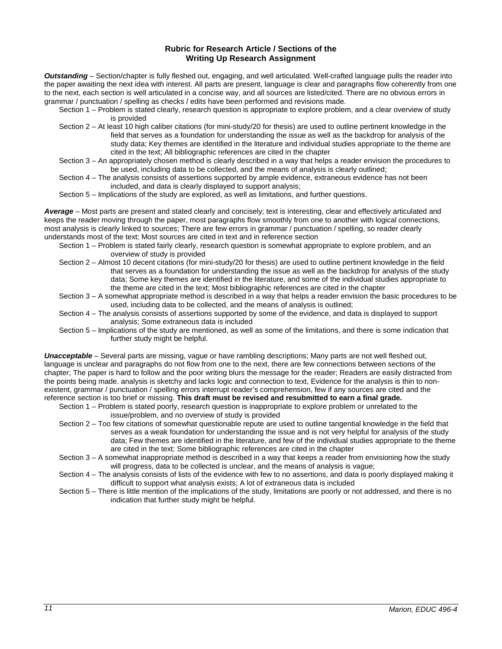#### **Rubric for Research Article / Sections of the Writing Up Research Assignment**

*Outstanding* – Section/chapter is fully fleshed out, engaging, and well articulated. Well-crafted language pulls the reader into the paper awaiting the next idea with interest. All parts are present, language is clear and paragraphs flow coherently from one to the next, each section is well articulated in a concise way, and all sources are listed/cited. There are no obvious errors in grammar / punctuation / spelling as checks / edits have been performed and revisions made.

- Section 1 Problem is stated clearly, research question is appropriate to explore problem, and a clear overview of study is provided
- Section 2 At least 10 high caliber citations (for mini-study/20 for thesis) are used to outline pertinent knowledge in the field that serves as a foundation for understanding the issue as well as the backdrop for analysis of the study data; Key themes are identified in the literature and individual studies appropriate to the theme are cited in the text; All bibliographic references are cited in the chapter
- Section 3 An appropriately chosen method is clearly described in a way that helps a reader envision the procedures to be used, including data to be collected, and the means of analysis is clearly outlined;
- Section 4 The analysis consists of assertions supported by ample evidence, extraneous evidence has not been included, and data is clearly displayed to support analysis;
- Section 5 Implications of the study are explored, as well as limitations, and further questions.

*Average* – Most parts are present and stated clearly and concisely; text is interesting, clear and effectively articulated and keeps the reader moving through the paper, most paragraphs flow smoothly from one to another with logical connections, most analysis is clearly linked to sources; There are few errors in grammar / punctuation / spelling, so reader clearly understands most of the text; Most sources are cited in text and in reference section

- Section 1 Problem is stated fairly clearly, research question is somewhat appropriate to explore problem, and an overview of study is provided
- Section 2 Almost 10 decent citations (for mini-study/20 for thesis) are used to outline pertinent knowledge in the field that serves as a foundation for understanding the issue as well as the backdrop for analysis of the study data; Some key themes are identified in the literature, and some of the individual studies appropriate to the theme are cited in the text; Most bibliographic references are cited in the chapter
- Section 3 A somewhat appropriate method is described in a way that helps a reader envision the basic procedures to be used, including data to be collected, and the means of analysis is outlined;
- Section 4 The analysis consists of assertions supported by some of the evidence, and data is displayed to support analysis; Some extraneous data is included
- Section 5 Implications of the study are mentioned, as well as some of the limitations, and there is some indication that further study might be helpful.

*Unacceptable* – Several parts are missing, vague or have rambling descriptions; Many parts are not well fleshed out, language is unclear and paragraphs do not flow from one to the next, there are few connections between sections of the chapter; The paper is hard to follow and the poor writing blurs the message for the reader; Readers are easily distracted from the points being made. analysis is sketchy and lacks logic and connection to text, Evidence for the analysis is thin to nonexistent, grammar / punctuation / spelling errors interrupt reader's comprehension, few if any sources are cited and the reference section is too brief or missing. **This draft must be revised and resubmitted to earn a final grade.**

- Section 1 Problem is stated poorly, research question is inappropriate to explore problem or unrelated to the issue/problem, and no overview of study is provided
- Section 2 Too few citations of somewhat questionable repute are used to outline tangential knowledge in the field that serves as a weak foundation for understanding the issue and is not very helpful for analysis of the study data; Few themes are identified in the literature, and few of the individual studies appropriate to the theme are cited in the text; Some bibliographic references are cited in the chapter
- Section 3 A somewhat inappropriate method is described in a way that keeps a reader from envisioning how the study will progress, data to be collected is unclear, and the means of analysis is vague;
- Section 4 The analysis consists of lists of the evidence with few to no assertions, and data is poorly displayed making it difficult to support what analysis exists; A lot of extraneous data is included
- Section 5 There is little mention of the implications of the study, limitations are poorly or not addressed, and there is no indication that further study might be helpful.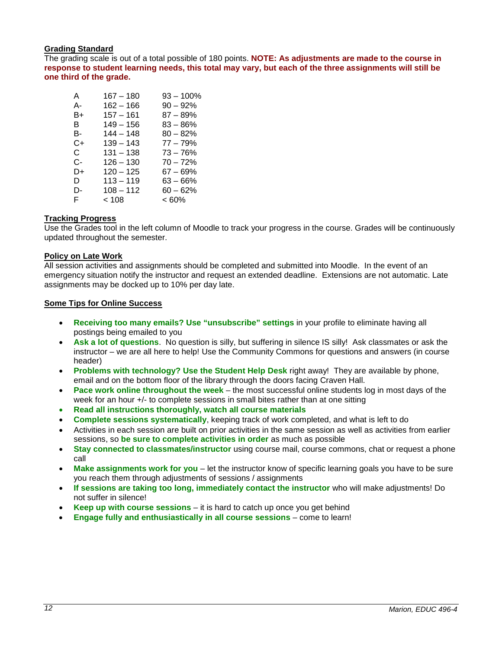# **Grading Standard**

The grading scale is out of a total possible of 180 points. **NOTE: As adjustments are made to the course in response to student learning needs, this total may vary, but each of the three assignments will still be one third of the grade.**

| A  | $167 - 180$ | 93 – 100%   |
|----|-------------|-------------|
| А- | $162 - 166$ | $90 - 92%$  |
| B+ | $157 - 161$ | $87 - 89%$  |
| в  | $149 - 156$ | $83 - 86\%$ |
| в- | $144 - 148$ | $80 - 82%$  |
| C+ | $139 - 143$ | $77 - 79%$  |
| C. | $131 - 138$ | $73 - 76%$  |
| C- | $126 - 130$ | $70 - 72%$  |
| D+ | $120 - 125$ | 67 – 69%    |
| D  | $113 - 119$ | $63 - 66%$  |
| D- | $108 - 112$ | $60 - 62%$  |
| F. | < 108       | < 60%       |
|    |             |             |

# **Tracking Progress**

Use the Grades tool in the left column of Moodle to track your progress in the course. Grades will be continuously updated throughout the semester.

# **Policy on Late Work**

All session activities and assignments should be completed and submitted into Moodle. In the event of an emergency situation notify the instructor and request an extended deadline. Extensions are not automatic. Late assignments may be docked up to 10% per day late.

# **Some Tips for Online Success**

- **Receiving too many emails? Use "unsubscribe" settings** in your profile to eliminate having all postings being emailed to you
- **Ask a lot of questions**. No question is silly, but suffering in silence IS silly! Ask classmates or ask the instructor – we are all here to help! Use the Community Commons for questions and answers (in course header)
- **Problems with technology? Use the Student Help Desk** right away! They are available by phone, email and on the bottom floor of the library through the doors facing Craven Hall.
- **Pace work online throughout the week** the most successful online students log in most days of the week for an hour +/- to complete sessions in small bites rather than at one sitting
- **Read all instructions thoroughly, watch all course materials**
- **Complete sessions systematically**, keeping track of work completed, and what is left to do
- Activities in each session are built on prior activities in the same session as well as activities from earlier sessions, so **be sure to complete activities in order** as much as possible
- **Stay connected to classmates/instructor** using course mail, course commons, chat or request a phone call
- **Make assignments work for you** let the instructor know of specific learning goals you have to be sure you reach them through adjustments of sessions / assignments
- **If sessions are taking too long, immediately contact the instructor** who will make adjustments! Do not suffer in silence!
- **Keep up with course sessions** it is hard to catch up once you get behind
- **Engage fully and enthusiastically in all course sessions** come to learn!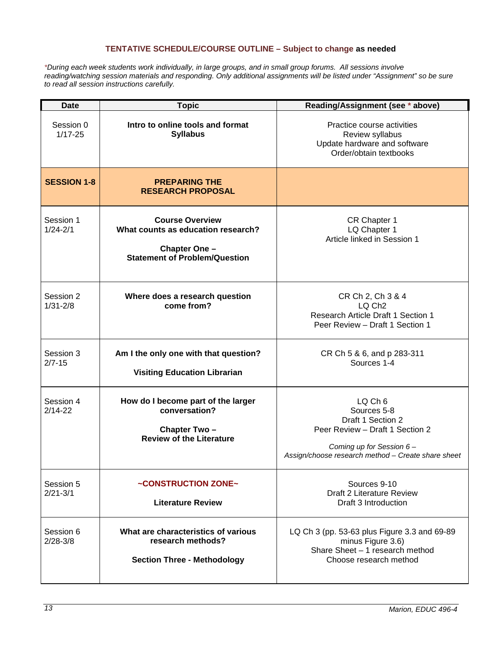# **TENTATIVE SCHEDULE/COURSE OUTLINE – Subject to change as needed**

*\*During each week students work individually, in large groups, and in small group forums. All sessions involve reading/watching session materials and responding. Only additional assignments will be listed under "Assignment" so be sure to read all session instructions carefully.*

| <b>Date</b>               | <b>Topic</b>                                                                                                          | Reading/Assignment (see * above)                                                                                                                                     |
|---------------------------|-----------------------------------------------------------------------------------------------------------------------|----------------------------------------------------------------------------------------------------------------------------------------------------------------------|
| Session 0<br>$1/17 - 25$  | Intro to online tools and format<br><b>Syllabus</b>                                                                   | Practice course activities<br>Review syllabus<br>Update hardware and software<br>Order/obtain textbooks                                                              |
| <b>SESSION 1-8</b>        | <b>PREPARING THE</b><br><b>RESEARCH PROPOSAL</b>                                                                      |                                                                                                                                                                      |
| Session 1<br>$1/24 - 2/1$ | <b>Course Overview</b><br>What counts as education research?<br>Chapter One -<br><b>Statement of Problem/Question</b> | CR Chapter 1<br>LQ Chapter 1<br>Article linked in Session 1                                                                                                          |
| Session 2<br>$1/31 - 2/8$ | Where does a research question<br>come from?                                                                          | CR Ch 2, Ch 3 & 4<br>LQ Ch <sub>2</sub><br>Research Article Draft 1 Section 1<br>Peer Review - Draft 1 Section 1                                                     |
| Session 3<br>$2/7 - 15$   | Am I the only one with that question?<br><b>Visiting Education Librarian</b>                                          | CR Ch 5 & 6, and p 283-311<br>Sources 1-4                                                                                                                            |
| Session 4<br>$2/14 - 22$  | How do I become part of the larger<br>conversation?<br>Chapter Two-<br><b>Review of the Literature</b>                | $LQ$ Ch $6$<br>Sources 5-8<br>Draft 1 Section 2<br>Peer Review - Draft 1 Section 2<br>Coming up for Session 6-<br>Assign/choose research method - Create share sheet |
| Session 5<br>$2/21 - 3/1$ | ~CONSTRUCTION ZONE~<br><b>Literature Review</b>                                                                       | Sources 9-10<br>Draft 2 Literature Review<br>Draft 3 Introduction                                                                                                    |
| Session 6<br>$2/28 - 3/8$ | What are characteristics of various<br>research methods?<br><b>Section Three - Methodology</b>                        | LQ Ch 3 (pp. 53-63 plus Figure 3.3 and 69-89<br>minus Figure 3.6)<br>Share Sheet - 1 research method<br>Choose research method                                       |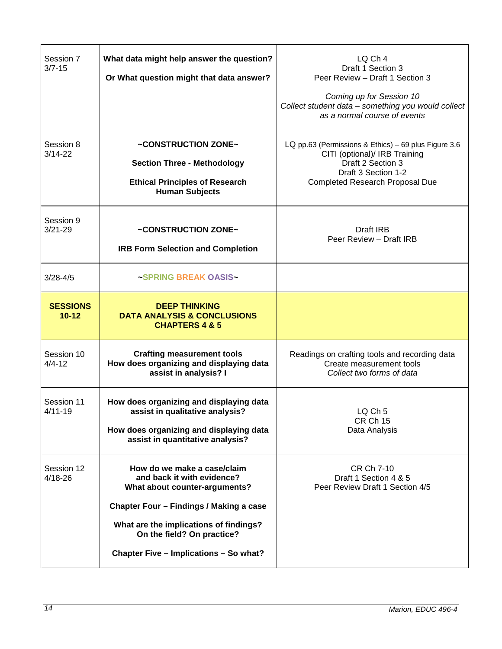| Session 7<br>$3/7 - 15$      | What data might help answer the question?<br>Or What question might that data answer?                                                                                                                                                                   | LQ Ch 4<br>Draft 1 Section 3<br>Peer Review - Draft 1 Section 3<br>Coming up for Session 10<br>Collect student data - something you would collect<br>as a normal course of events |
|------------------------------|---------------------------------------------------------------------------------------------------------------------------------------------------------------------------------------------------------------------------------------------------------|-----------------------------------------------------------------------------------------------------------------------------------------------------------------------------------|
| Session 8<br>3/14-22         | ~CONSTRUCTION ZONE~<br><b>Section Three - Methodology</b><br><b>Ethical Principles of Research</b><br><b>Human Subjects</b>                                                                                                                             | LQ pp.63 (Permissions & Ethics) - 69 plus Figure 3.6<br>CITI (optional)/ IRB Training<br>Draft 2 Section 3<br>Draft 3 Section 1-2<br><b>Completed Research Proposal Due</b>       |
| Session 9<br>$3/21 - 29$     | ~CONSTRUCTION ZONE~<br><b>IRB Form Selection and Completion</b>                                                                                                                                                                                         | Draft IRB<br>Peer Review - Draft IRB                                                                                                                                              |
| $3/28 - 4/5$                 | ~SPRING BREAK OASIS~                                                                                                                                                                                                                                    |                                                                                                                                                                                   |
| <b>SESSIONS</b><br>$10 - 12$ | <b>DEEP THINKING</b><br><b>DATA ANALYSIS &amp; CONCLUSIONS</b><br><b>CHAPTERS 4 &amp; 5</b>                                                                                                                                                             |                                                                                                                                                                                   |
| Session 10<br>$4/4 - 12$     | <b>Crafting measurement tools</b><br>How does organizing and displaying data<br>assist in analysis? I                                                                                                                                                   | Readings on crafting tools and recording data<br>Create measurement tools<br>Collect two forms of data                                                                            |
| Session 11<br>$4/11 - 19$    | How does organizing and displaying data<br>assist in qualitative analysis?<br>How does organizing and displaying data<br>assist in quantitative analysis?                                                                                               | LO Ch <sub>5</sub><br><b>CR Ch 15</b><br>Data Analysis                                                                                                                            |
| Session 12<br>4/18-26        | How do we make a case/claim<br>and back it with evidence?<br>What about counter-arguments?<br>Chapter Four - Findings / Making a case<br>What are the implications of findings?<br>On the field? On practice?<br>Chapter Five - Implications - So what? | CR Ch 7-10<br>Draft 1 Section 4 & 5<br>Peer Review Draft 1 Section 4/5                                                                                                            |